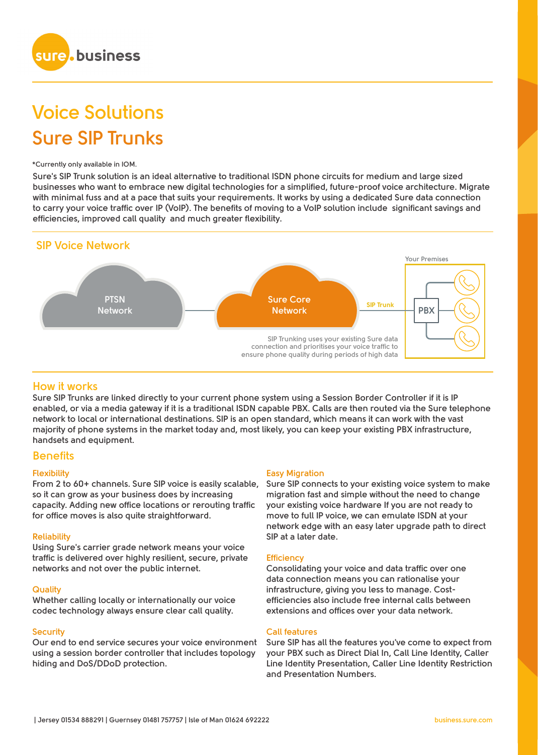

# **Voice Solutions Sure SIP Trunks**

#### **\*Currently only available in IOM.**

**Sure's SIP Trunk solution is an ideal alternative to traditional ISDN phone circuits for medium and large sized businesses who want to embrace new digital technologies for a simplified, future-proof voice architecture. Migrate with minimal fuss and at a pace that suits your requirements. It works by using a dedicated Sure data connection to carry your voice traffic over IP (VoIP). The benefits of moving to a VoIP solution include significant savings and efficiencies, improved call quality and much greater flexibility.**



# **How it works**

**Sure SIP Trunks are linked directly to your current phone system using a Session Border Controller if it is IP enabled, or via a media gateway if it is a traditional ISDN capable PBX. Calls are then routed via the Sure telephone network to local or international destinations. SIP is an open standard, which means it can work with the vast majority of phone systems in the market today and, most likely, you can keep your existing PBX infrastructure, handsets and equipment.**

# **Benefits**

#### **Flexibility**

**From 2 to 60+ channels. Sure SIP voice is easily scalable, so it can grow as your business does by increasing capacity. Adding new office locations or rerouting traffic for office moves is also quite straightforward.** 

#### **Reliability**

**Using Sure's carrier grade network means your voice traffic is delivered over highly resilient, secure, private networks and not over the public internet.**

#### **Quality**

**Whether calling locally or internationally our voice codec technology always ensure clear call quality.** 

#### **Security**

**Our end to end service secures your voice environment using a session border controller that includes topology hiding and DoS/DDoD protection.** 

#### **Easy Migration**

**Sure SIP connects to your existing voice system to make migration fast and simple without the need to change your existing voice hardware If you are not ready to move to full IP voice, we can emulate ISDN at your network edge with an easy later upgrade path to direct SIP at a later date.**

#### **Efficiency**

**Consolidating your voice and data traffic over one data connection means you can rationalise your infrastructure, giving you less to manage. Costefficiencies also include free internal calls between extensions and offices over your data network.**

#### **Call features**

**Sure SIP has all the features you've come to expect from your PBX such as Direct Dial In, Call Line Identity, Caller Line Identity Presentation, Caller Line Identity Restriction and Presentation Numbers.**